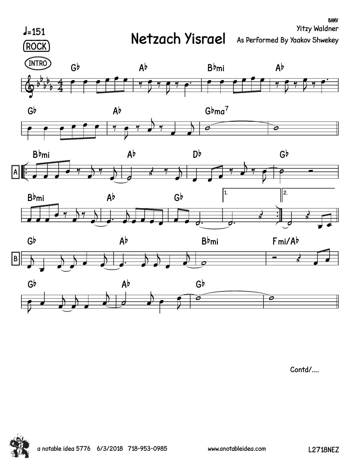

Contd/....

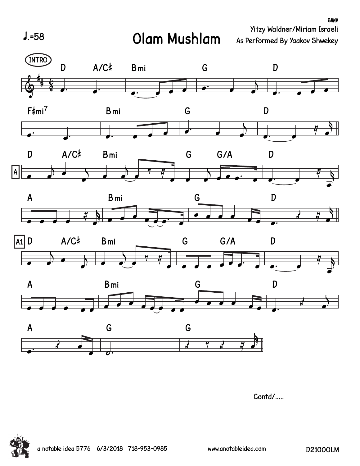Yitzy Waldner/Miriam Israeli

















Contd/.....

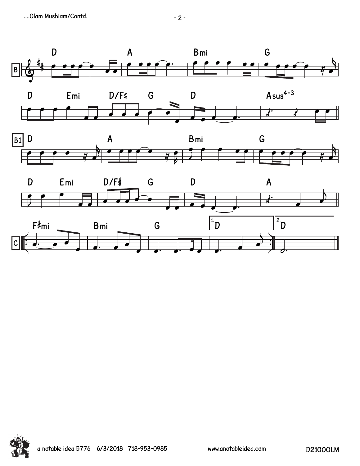..... Olam Mushlam/Contd.



 $-2-$ 









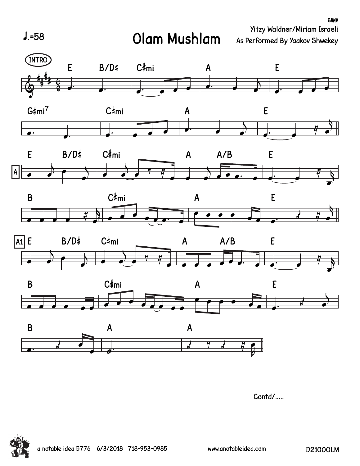**BHNV** Yitzy Waldner/Miriam Israeli















Contd/.....



a notable idea 5776 6/3/2018 718-953-0985 www.anotableidea.com D2100OLM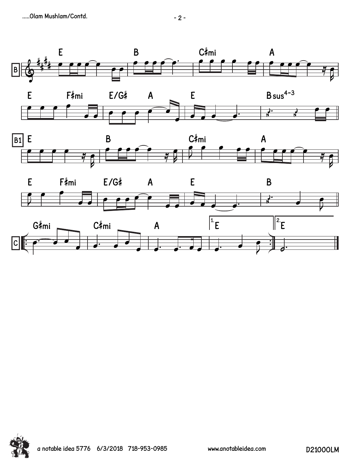..... Olam Mushlam/Contd.



 $-2-$ 











a notable idea 5776 6/3/2018 718-953-0985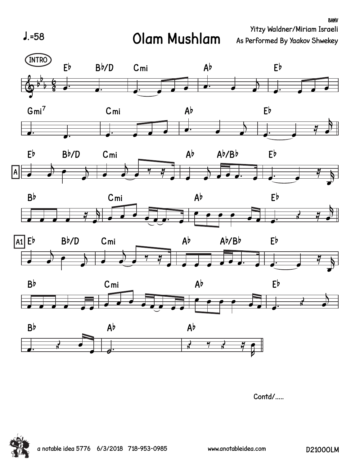Yitzy Waldner/Miriam Israeli

















Contd/.....

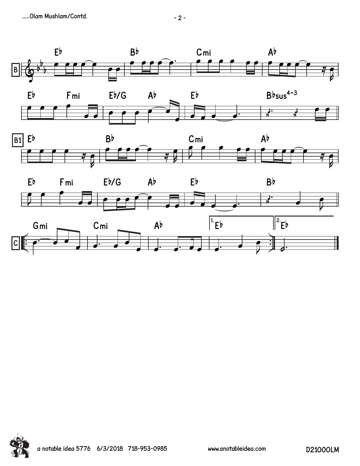

 $-2-$ 







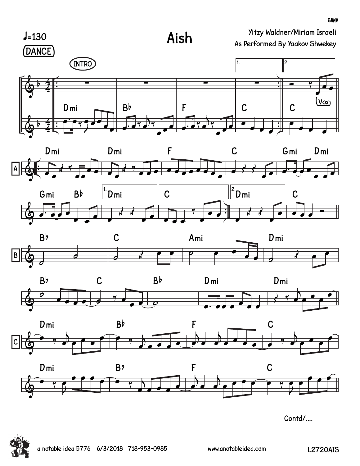













Contd/....

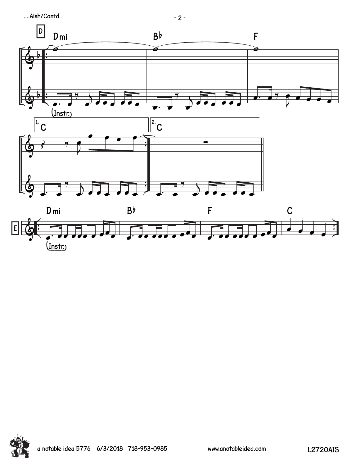$(\underline{Instr.})$ 





**L2720AIS**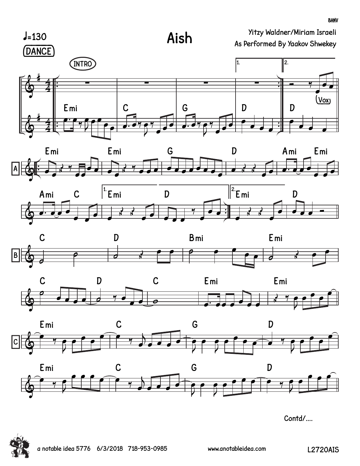













Contd/....

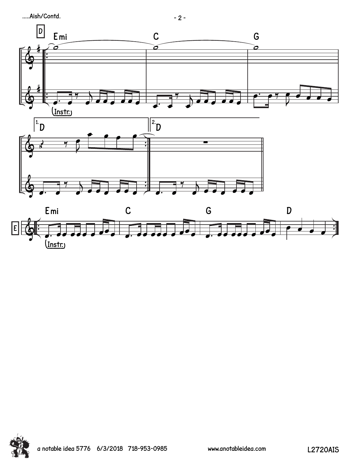





a notable idea 5776 6/3/2018 718-953-0985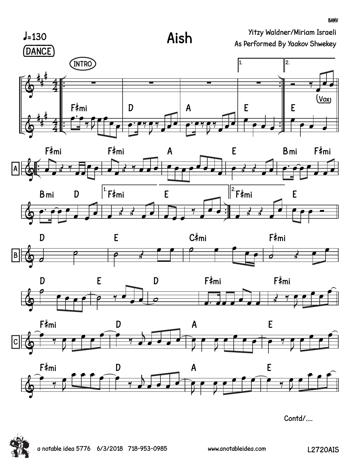











Contd/....

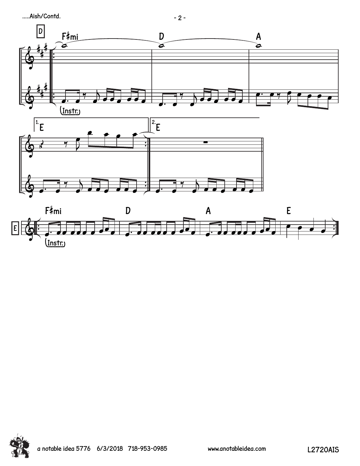







a notable idea 5776 6/3/2018 718-953-0985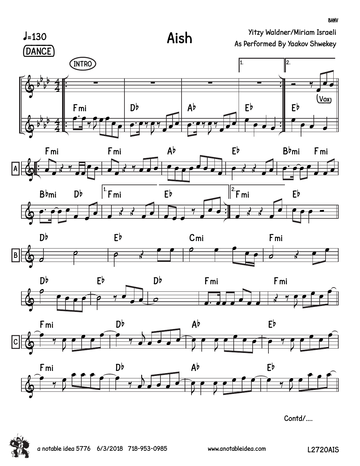











Contd/....

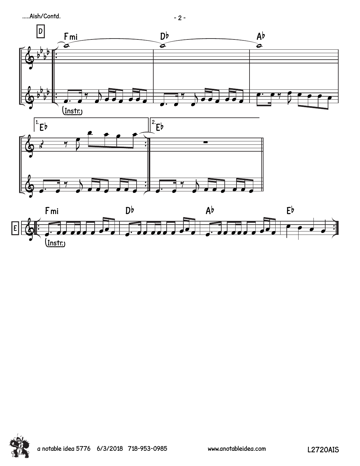







a notable idea 5776 6/3/2018 718-953-0985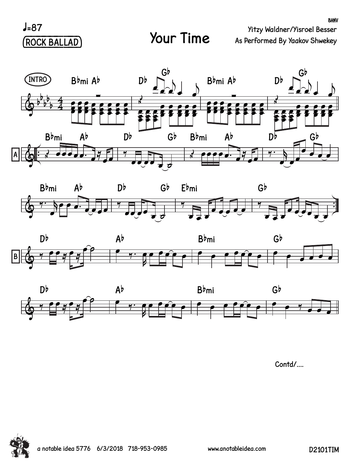#### $J=87$ (ROCK BALLAD)

Your Time

Yitzy Waldner/Yisroel Besser As Performed By Yaakov Shwekey









Contd/....

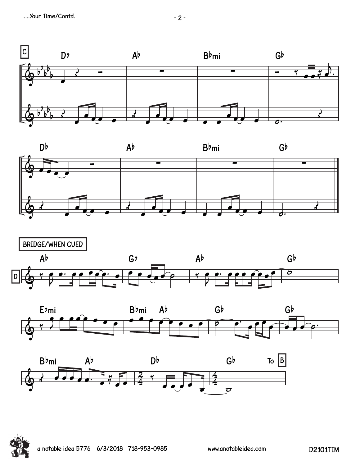









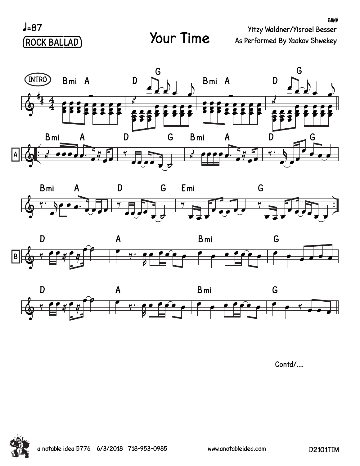#### $J=87$ (ROCK BALLAD)

Your Time

Yitzy Waldner/Yisroel Besser As Performed By Yaakov Shwekey









Contd/....



a notable idea 5776 6/3/2018 718-953-0985 www.anotableidea.com D2101TIM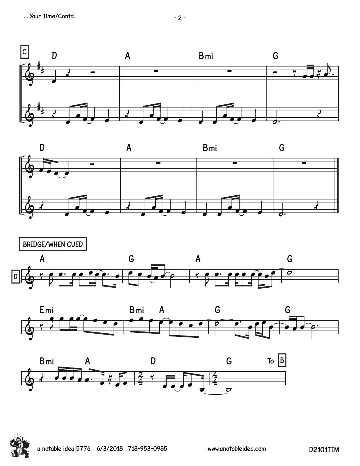

![](_page_18_Figure_2.jpeg)

![](_page_18_Figure_3.jpeg)

![](_page_18_Figure_4.jpeg)

![](_page_18_Figure_5.jpeg)

![](_page_18_Picture_6.jpeg)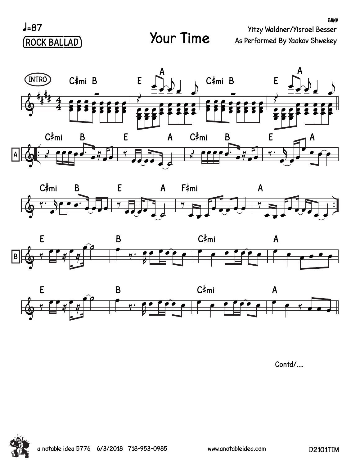#### $J=87$ (ROCK BALLAD)

Your Time

Yitzy Waldner/Yisroel Besser As Performed By Yaakov Shwekey

**BHNV** 

![](_page_19_Figure_3.jpeg)

![](_page_19_Figure_4.jpeg)

![](_page_19_Figure_5.jpeg)

![](_page_19_Figure_6.jpeg)

Contd/....

![](_page_19_Picture_8.jpeg)

a notable idea 5776 6/3/2018 718-953-0985 www.anotableidea.com D2101TIM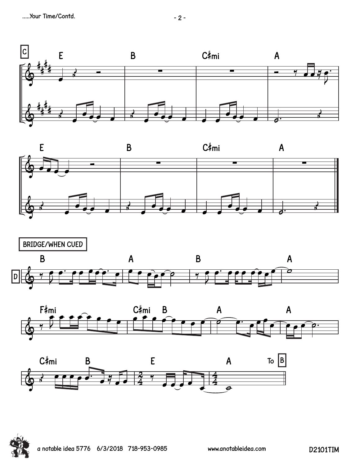![](_page_20_Figure_1.jpeg)

![](_page_20_Figure_2.jpeg)

![](_page_20_Figure_3.jpeg)

![](_page_20_Figure_4.jpeg)

![](_page_20_Figure_5.jpeg)

![](_page_20_Picture_6.jpeg)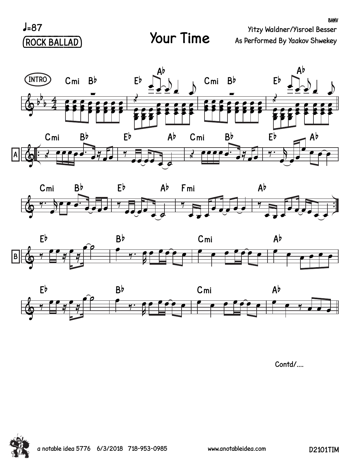#### $J=87$ ROCK BALLAD

Your Time

Yitzy Waldner/Yisroel Besser As Performed By Yaakov Shwekey

![](_page_21_Figure_3.jpeg)

![](_page_21_Figure_4.jpeg)

![](_page_21_Figure_5.jpeg)

![](_page_21_Figure_6.jpeg)

Contd/....

![](_page_21_Picture_8.jpeg)

a notable idea 5776 6/3/2018 718-953-0985 www.anotableidea.com D2101TIM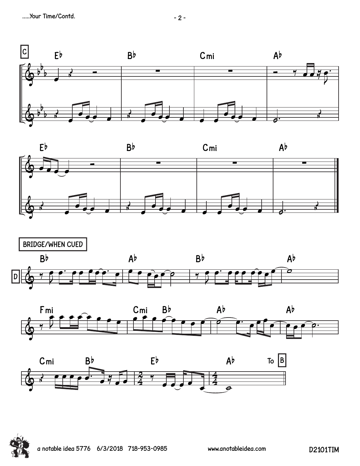![](_page_22_Figure_1.jpeg)

![](_page_22_Figure_2.jpeg)

![](_page_22_Figure_3.jpeg)

![](_page_22_Figure_4.jpeg)

![](_page_22_Figure_5.jpeg)

![](_page_22_Picture_6.jpeg)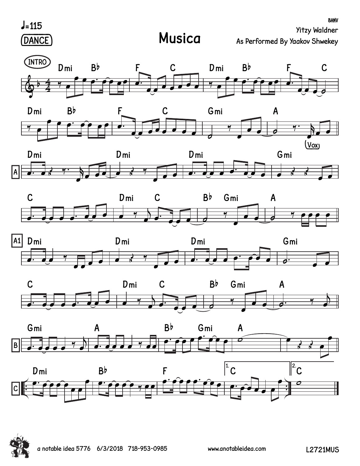![](_page_23_Figure_0.jpeg)

Musica

Yitzy Waldner As Performed By Yaakov Shwekey

![](_page_23_Figure_3.jpeg)

![](_page_23_Figure_4.jpeg)

![](_page_23_Figure_5.jpeg)

![](_page_23_Figure_6.jpeg)

![](_page_23_Figure_7.jpeg)

![](_page_23_Figure_8.jpeg)

![](_page_23_Figure_9.jpeg)

![](_page_23_Figure_10.jpeg)

![](_page_23_Picture_11.jpeg)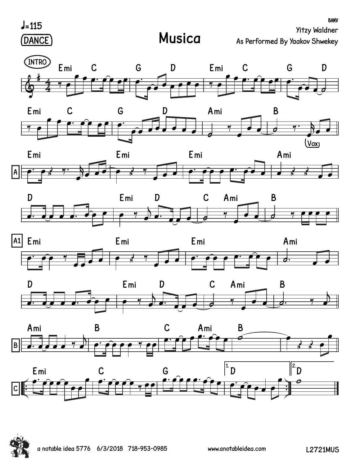![](_page_24_Figure_0.jpeg)

![](_page_24_Figure_1.jpeg)

![](_page_24_Figure_2.jpeg)

![](_page_24_Figure_3.jpeg)

![](_page_24_Figure_4.jpeg)

![](_page_24_Figure_5.jpeg)

![](_page_24_Figure_6.jpeg)

![](_page_24_Picture_7.jpeg)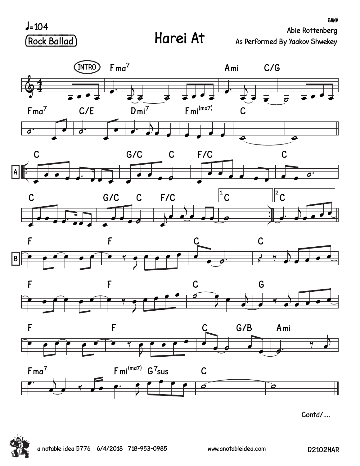$J = 104$ (Rock Ballad)

Abie Rottenberg As Performed By Yaakov Shwekey

**BHNV** 

![](_page_25_Figure_3.jpeg)

![](_page_25_Figure_4.jpeg)

![](_page_25_Figure_5.jpeg)

![](_page_25_Figure_6.jpeg)

![](_page_25_Figure_7.jpeg)

![](_page_25_Figure_8.jpeg)

![](_page_25_Figure_9.jpeg)

Contd/....

![](_page_25_Picture_11.jpeg)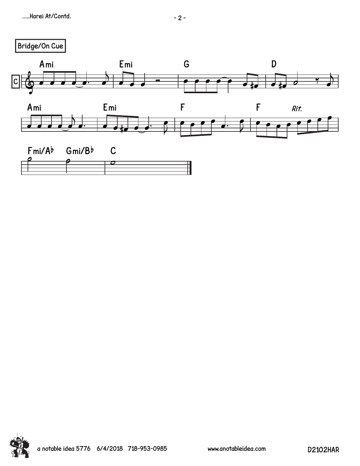![](_page_26_Figure_1.jpeg)

![](_page_26_Picture_2.jpeg)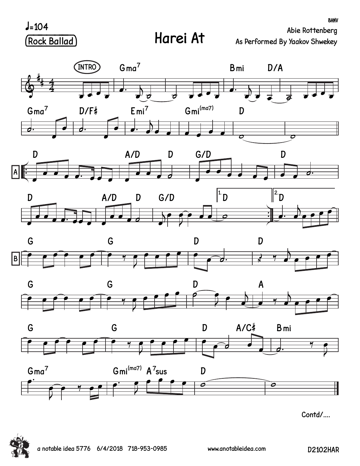$J = 104$ (Rock Ballad)

### Harei At

Abie Rottenberg As Performed By Yaakov Shwekey

![](_page_27_Figure_3.jpeg)

![](_page_27_Figure_4.jpeg)

![](_page_27_Figure_5.jpeg)

![](_page_27_Figure_6.jpeg)

![](_page_27_Figure_7.jpeg)

![](_page_27_Figure_8.jpeg)

![](_page_27_Figure_9.jpeg)

Contd/....

![](_page_27_Picture_11.jpeg)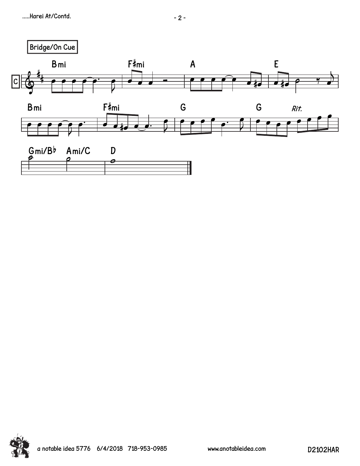![](_page_28_Figure_1.jpeg)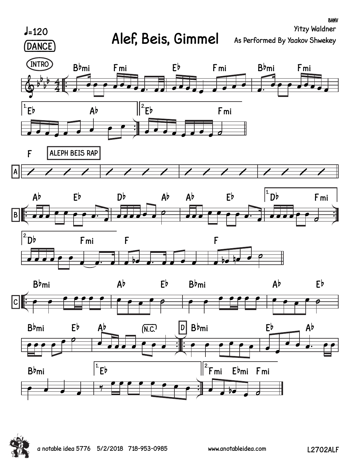![](_page_29_Figure_0.jpeg)

![](_page_29_Picture_1.jpeg)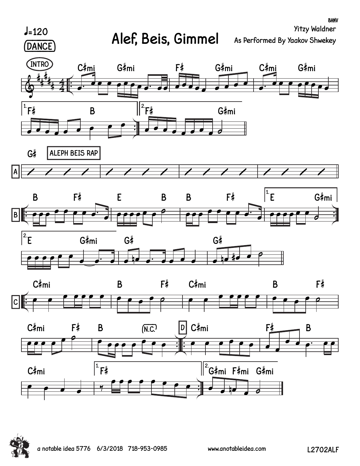$\stackrel{\ast}{\Phi}$  $\frac{1}{4}$  $\frac{1}{4}$  $\frac{1}{2}$  $\frac{4}{7}$ —<br>1.<br>1.  $\frac{1}{\sqrt{1-\frac{1}{\sqrt{1-\frac{1}{\sqrt{1-\frac{1}{\sqrt{1-\frac{1}{\sqrt{1-\frac{1}{\sqrt{1-\frac{1}{\sqrt{1-\frac{1}{\sqrt{1-\frac{1}{\sqrt{1-\frac{1}{\sqrt{1-\frac{1}{\sqrt{1-\frac{1}{\sqrt{1-\frac{1}{\sqrt{1-\frac{1}{\sqrt{1-\frac{1}{\sqrt{1-\frac{1}{\sqrt{1-\frac{1}{\sqrt{1-\frac{1}{\sqrt{1-\frac{1}{\sqrt{1-\frac{1}{\sqrt{1-\frac{1}{\sqrt{1-\frac{1}{\sqrt{1-\frac{1}{\sqrt{1-\frac{1}{\sqrt{1-\frac{1$ INTRO C<sup>‡</sup>mi G<sup>‡</sup>mi G#mi  $\overrightarrow{1}$ F<u>#</u> G#mi C#mi mi G mi  $\ddot{\cdot}$  $\frac{1}{1}$  $\sqrt{\frac{1}{2}F^2}$  **F**# **B**  $||^{2}$  $\overrightarrow{a}$  $|^2$ F# G#mi  $\begin{array}{cc} \end{array}$  $G_*$  ALEPH BEIS RAP <sup>A</sup>  $\frac{1}{2}$  **B** F<sup>#</sup> <sup>B</sup> E B  $\overrightarrow{p}$ B F#  $|^1E$  $\overline{\cdots}$  $\overline{\mathbf{e}}$ E G#mi  $\sqrt{2}E$   $\overrightarrow{a}$ E G<sup>#</sup>mi  $G#$   $G#$  $\frac{1}{1}$  C#mi <sup>C</sup> **B** F<sup>#</sup> - - - - - - - - - -C#mi  $\bullet$   $\bullet$   $\bullet$   $\circ$  $B$   $F#$  $\frac{1}{1}$ 非 C<mark>‡mi F</mark>#  $\overrightarrow{p}$  $\overline{B}$   $\overline{N.C.}$  $\bullet$   $\bullet$   $\bullet$   $\bullet$   $\bullet$  $\boxed{D}$  C<sup>#</sup>mi  $\overline{\phantom{0}}$  $\overrightarrow{\bullet}$   $\overrightarrow{\bullet}$   $\overrightarrow{\bullet}$  $F^*$  B  $\frac{1}{2}$  C mi  $\sqrt{\frac{1}{1-f}}$  $\overline{y}$   $\mathsf{F}^*$   $||^2$  $\overrightarrow{10}$ G<mark>‡mi F</mark>‡mi G<mark>‡</mark>mi Alef, Beis, Gimmel **BHNV** Yitzy Waldner As Performed By Yaakov Shwekey  $J = 120$ (DANCE)

![](_page_30_Picture_1.jpeg)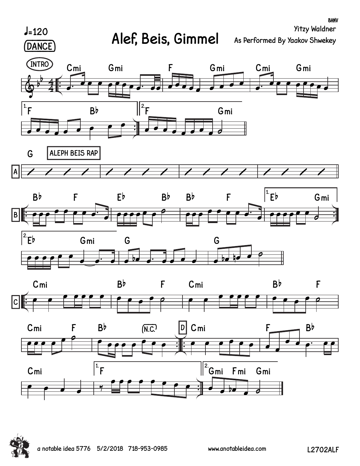![](_page_31_Figure_0.jpeg)

![](_page_31_Picture_1.jpeg)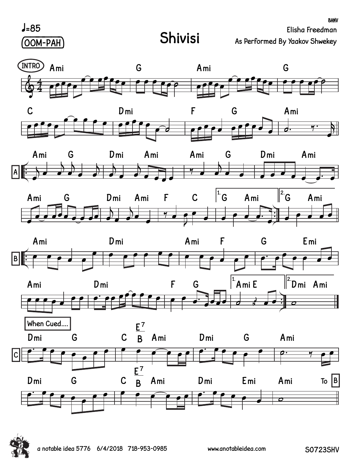$J=85$ (OOM-PAH)

Shivisi

Elisha Freedman As Performed By Yaakov Shwekey

![](_page_32_Figure_3.jpeg)

![](_page_32_Figure_4.jpeg)

![](_page_32_Figure_5.jpeg)

![](_page_32_Figure_6.jpeg)

![](_page_32_Figure_7.jpeg)

![](_page_32_Figure_8.jpeg)

![](_page_32_Figure_9.jpeg)

![](_page_32_Picture_10.jpeg)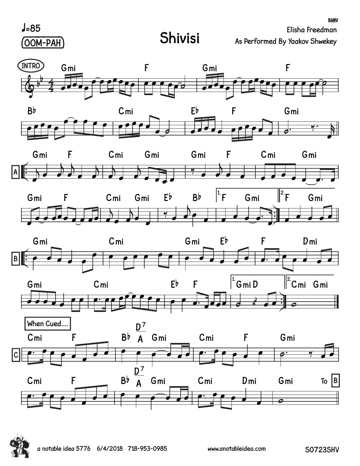### Shivisi

Elisha Freedman As Performed By Yaakov Shwekey

![](_page_33_Figure_3.jpeg)

![](_page_33_Figure_4.jpeg)

![](_page_33_Figure_5.jpeg)

![](_page_33_Figure_6.jpeg)

![](_page_33_Figure_7.jpeg)

![](_page_33_Figure_8.jpeg)

![](_page_33_Figure_9.jpeg)

![](_page_33_Picture_10.jpeg)

 $J=85$ (OOM-PAH)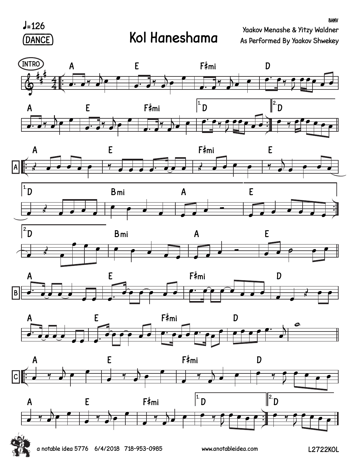$J = 126$ (DANCE)

# Kol Haneshama

Yaakov Menashe & Yitzy Waldner As Performed By Yaakov Shwekey

![](_page_34_Figure_3.jpeg)

![](_page_34_Figure_4.jpeg)

![](_page_34_Figure_5.jpeg)

![](_page_34_Figure_6.jpeg)

![](_page_34_Figure_7.jpeg)

![](_page_34_Figure_8.jpeg)

![](_page_34_Figure_9.jpeg)

![](_page_34_Figure_10.jpeg)

![](_page_34_Picture_11.jpeg)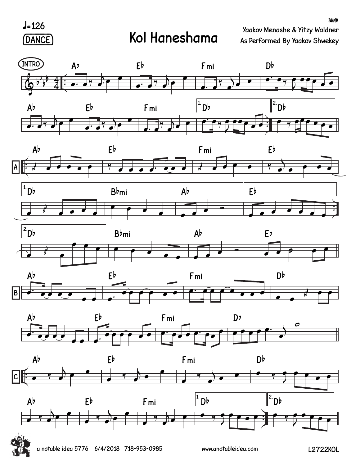$J = 126$ (DANCE)

## Kol Haneshama

Yaakov Menashe & Yitzy Waldner As Performed By Yaakov Shwekey

![](_page_35_Figure_3.jpeg)

![](_page_35_Figure_4.jpeg)

![](_page_35_Figure_5.jpeg)

![](_page_35_Figure_6.jpeg)

![](_page_35_Figure_7.jpeg)

![](_page_35_Figure_8.jpeg)

![](_page_35_Figure_9.jpeg)

![](_page_35_Figure_10.jpeg)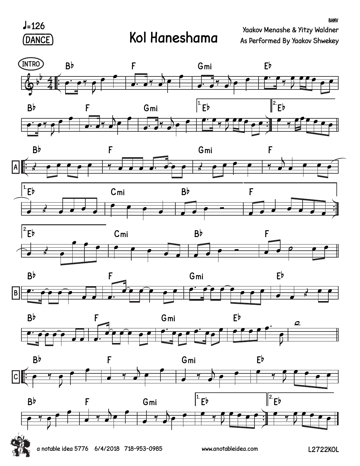$J = 126$ (DANCE)

## Kol Haneshama

Yaakov Menashe & Yitzy Waldner As Performed By Yaakov Shwekey

![](_page_36_Figure_3.jpeg)

![](_page_36_Figure_4.jpeg)

![](_page_36_Figure_5.jpeg)

![](_page_36_Figure_6.jpeg)

![](_page_36_Figure_7.jpeg)

![](_page_36_Figure_8.jpeg)

![](_page_36_Figure_9.jpeg)

![](_page_36_Figure_10.jpeg)

![](_page_36_Picture_11.jpeg)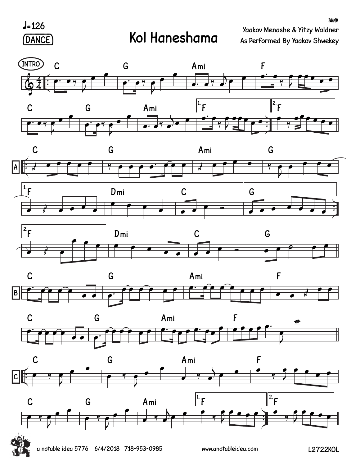$J = 126$ (DANCE)

## Kol Haneshama

Yaakov Menashe & Yitzy Waldner As Performed By Yaakov Shwekey

![](_page_37_Figure_3.jpeg)

![](_page_37_Figure_4.jpeg)

![](_page_37_Figure_5.jpeg)

![](_page_37_Figure_6.jpeg)

![](_page_37_Figure_7.jpeg)

![](_page_37_Figure_8.jpeg)

![](_page_37_Figure_9.jpeg)

![](_page_37_Figure_10.jpeg)

![](_page_37_Picture_11.jpeg)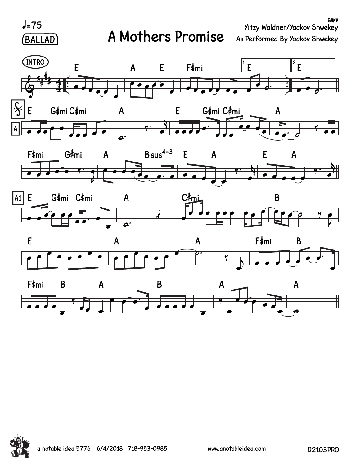$J = 75$ (BALLAD)

### A Mothers Promise

**BHNV** Yitzy Waldner/Yaakov Shwekey As Performed By Yaakov Shwekey

![](_page_38_Figure_3.jpeg)

![](_page_38_Figure_4.jpeg)

![](_page_38_Figure_5.jpeg)

![](_page_38_Figure_6.jpeg)

![](_page_38_Figure_7.jpeg)

![](_page_38_Figure_8.jpeg)

![](_page_38_Picture_9.jpeg)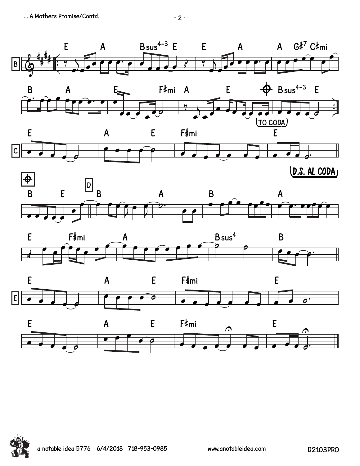![](_page_39_Figure_1.jpeg)

 $-2-$ 

![](_page_39_Figure_2.jpeg)

![](_page_39_Figure_3.jpeg)

![](_page_39_Figure_4.jpeg)

![](_page_39_Figure_5.jpeg)

![](_page_39_Figure_6.jpeg)

![](_page_39_Figure_7.jpeg)

![](_page_39_Picture_8.jpeg)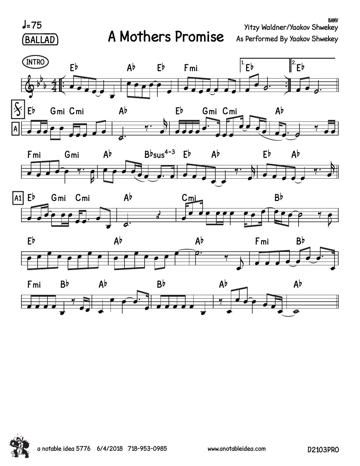$J=75$ (BALLAD)

### A Mothers Promise

**BHNV** Yitzy Waldner/Yaakov Shwekey As Performed By Yaakov Shwekey

![](_page_40_Figure_3.jpeg)

![](_page_40_Figure_4.jpeg)

![](_page_40_Figure_5.jpeg)

![](_page_40_Figure_6.jpeg)

![](_page_40_Figure_7.jpeg)

![](_page_40_Picture_8.jpeg)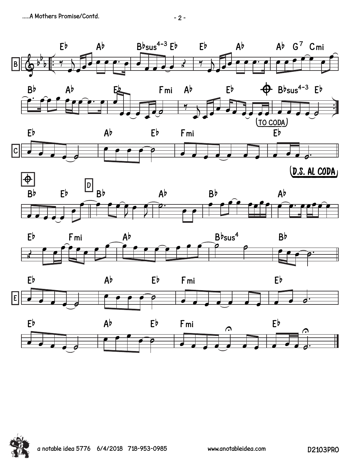![](_page_41_Figure_1.jpeg)

 $-2-$ 

![](_page_41_Figure_2.jpeg)

![](_page_41_Figure_3.jpeg)

![](_page_41_Figure_4.jpeg)

![](_page_41_Figure_5.jpeg)

![](_page_41_Figure_6.jpeg)

![](_page_41_Figure_7.jpeg)

![](_page_41_Picture_8.jpeg)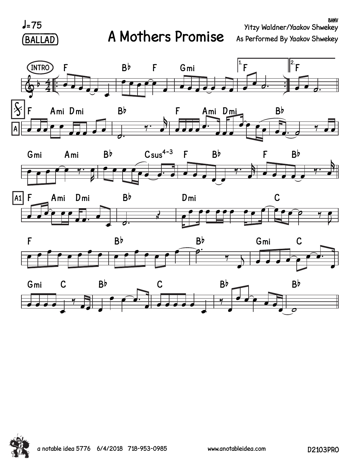$J = 75$ (BALLAD)

## A Mothers Promise

**BHNV** Yitzy Waldner/Yaakov Shwekey As Performed By Yaakov Shwekey

![](_page_42_Figure_3.jpeg)

![](_page_42_Figure_4.jpeg)

![](_page_42_Figure_5.jpeg)

![](_page_42_Figure_6.jpeg)

![](_page_42_Figure_7.jpeg)

![](_page_42_Figure_8.jpeg)

![](_page_42_Picture_9.jpeg)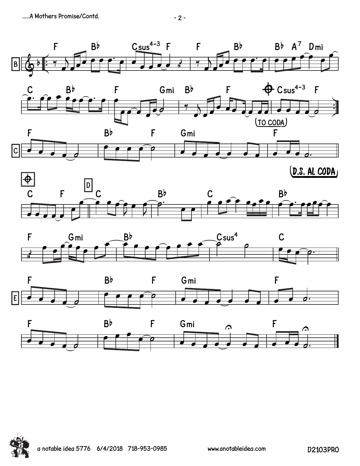![](_page_43_Figure_1.jpeg)

![](_page_43_Figure_2.jpeg)

![](_page_43_Figure_3.jpeg)

![](_page_43_Figure_4.jpeg)

![](_page_43_Figure_5.jpeg)

![](_page_43_Figure_6.jpeg)

![](_page_43_Figure_7.jpeg)

![](_page_43_Picture_8.jpeg)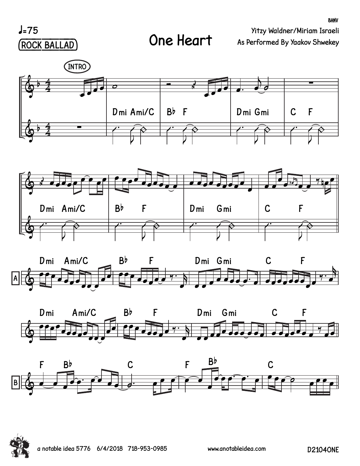One Heart

Yitzy Waldner/Miriam Israeli As Performed By Yaakov Shwekey

![](_page_44_Figure_3.jpeg)

![](_page_44_Figure_4.jpeg)

![](_page_44_Figure_5.jpeg)

![](_page_44_Figure_6.jpeg)

![](_page_44_Figure_7.jpeg)

![](_page_44_Picture_8.jpeg)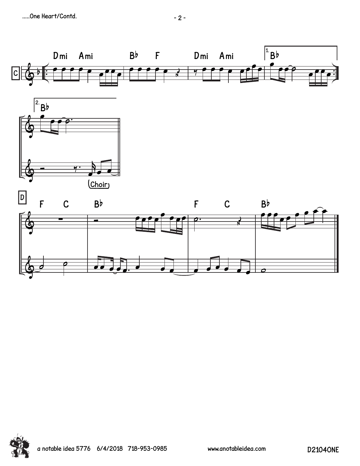![](_page_45_Figure_1.jpeg)

![](_page_45_Picture_2.jpeg)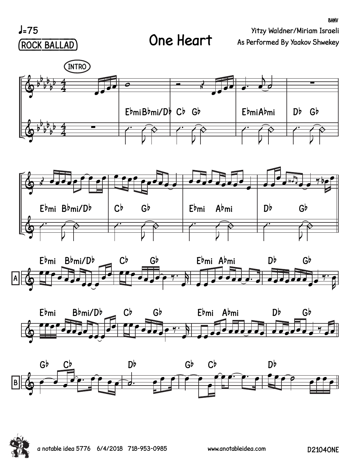Yitzy Waldner/Miriam Israeli As Performed By Yaakov Shwekey

![](_page_46_Figure_3.jpeg)

![](_page_46_Figure_4.jpeg)

![](_page_46_Figure_5.jpeg)

![](_page_46_Figure_6.jpeg)

![](_page_46_Figure_7.jpeg)

![](_page_46_Picture_8.jpeg)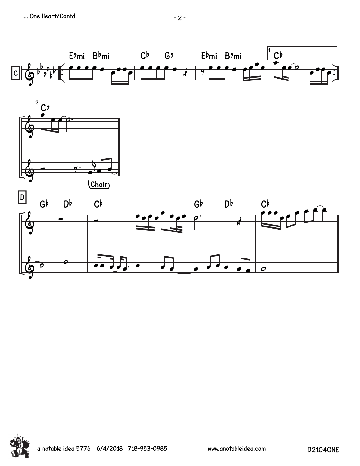![](_page_47_Picture_1.jpeg)

![](_page_47_Picture_2.jpeg)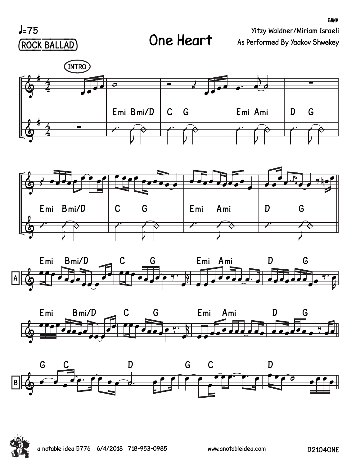$J = 75$ ROCK BALLAD

One Heart

Yitzy Waldner/Miriam Israeli As Performed By Yaakov Shwekey

![](_page_48_Figure_3.jpeg)

![](_page_48_Figure_4.jpeg)

![](_page_48_Figure_5.jpeg)

![](_page_48_Figure_6.jpeg)

![](_page_48_Figure_7.jpeg)

![](_page_48_Picture_8.jpeg)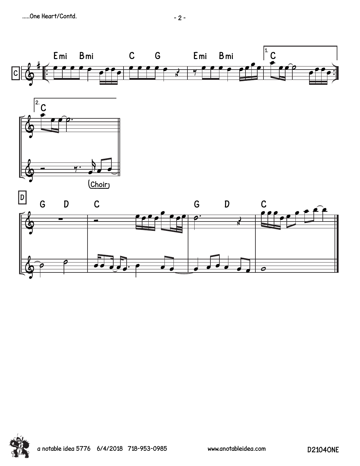![](_page_49_Figure_1.jpeg)

![](_page_49_Picture_2.jpeg)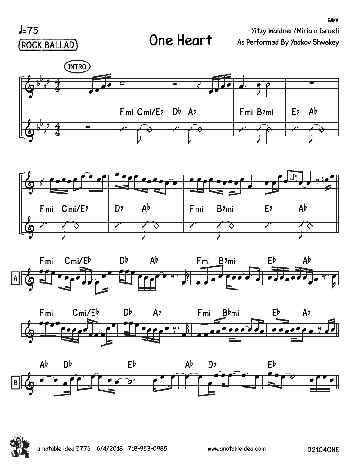One Heart

Yitzy Waldner/Miriam Israeli As Performed By Yaakov Shwekey

![](_page_50_Figure_3.jpeg)

![](_page_50_Figure_4.jpeg)

![](_page_50_Figure_5.jpeg)

![](_page_50_Figure_6.jpeg)

![](_page_50_Figure_7.jpeg)

![](_page_50_Picture_8.jpeg)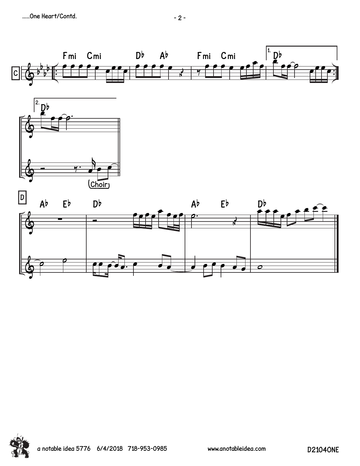![](_page_51_Picture_1.jpeg)

![](_page_51_Picture_2.jpeg)